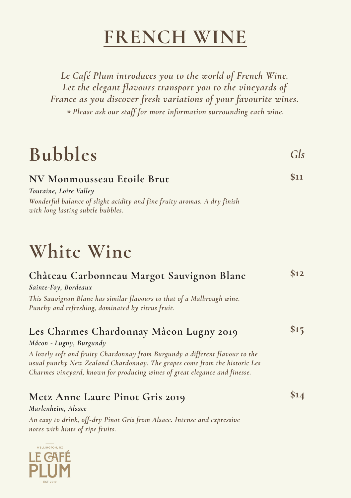### **FRENCH WINE**

*Le Café Plum introduces you to the world of French Wine. Let the elegant flavours transport you to the vineyards of France as you discover fresh variations of your favourite wines. \* Please ask our staff for more information surrounding each wine.* 

# **Bubbles**

*Gls*

#### **NV Monmousseau Etoile Brut \$11**

*Wonderful balance of slight acidity and fine fruity aromas. A dry finish with long lasting subtle bubbles. Touraine, Loire Valley* 

# **White Wine**

| Château Carbonneau Margot Sauvignon Blanc<br>Sainte-Foy, Bordeaux<br>This Sauvignon Blanc has similar flavours to that of a Malbrough wine.<br>Punchy and refreshing, dominated by citrus fruit.                                                                                                               | \$12 |
|----------------------------------------------------------------------------------------------------------------------------------------------------------------------------------------------------------------------------------------------------------------------------------------------------------------|------|
| Les Charmes Chardonnay Mâcon Lugny 2019<br>Mâcon - Lugny, Burgundy<br>A lovely soft and fruity Chardonnay from Burgundy a different flavour to the<br>usual punchy New Zealand Chardonnay. The grapes come from the historic Les<br>Charmes vineyard, known for producing wines of great elegance and finesse. | 515  |
| Metz Anne Laure Pinot Gris 2019<br>Marlenheim, Alsace<br>An easy to drink, off-dry Pinot Gris from Alsace. Intense and expressive<br>notes with hints of ripe fruits.                                                                                                                                          |      |

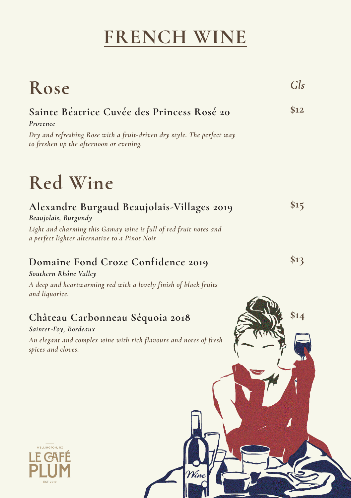# **FRENCH WINE**

| Rose                                                                                                                                                                                     | Gls  |
|------------------------------------------------------------------------------------------------------------------------------------------------------------------------------------------|------|
| Sainte Béatrice Cuvée des Princess Rosé 20<br>Provence<br>Dry and refreshing Rose with a fruit-driven dry style. The perfect way<br>to freshen up the afternoon or evening.              | \$12 |
| Red Wine                                                                                                                                                                                 |      |
| Alexandre Burgaud Beaujolais-Villages 2019<br>Beaujolais, Burgundy<br>Light and charming this Gamay wine is full of red fruit notes and<br>a perfect lighter alternative to a Pinot Noir | \$15 |
| Domaine Fond Croze Confidence 2019<br>Southern Rhône Valley<br>A deep and heartwarming red with a lovely finish of black fruits<br>and liquorice.                                        | \$13 |
| Château Carbonneau Séquoia 2018<br>Sainter-Foy, Bordeaux<br>An elegant and complex wine with rich flavours and notes of fresh<br>spices and cloves.                                      | \$14 |
| <b>WELLINGTON, NZ</b>                                                                                                                                                                    |      |
| Wine<br><b>EST 2019</b>                                                                                                                                                                  |      |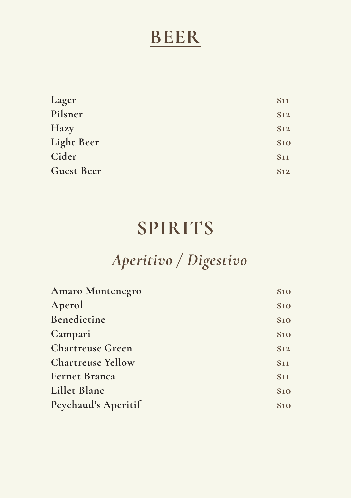### **BEER**

| Lager             | \$11 |
|-------------------|------|
| Pilsner           | \$12 |
| Hazy              | \$12 |
| Light Beer        | \$10 |
| Cider             | \$11 |
| <b>Guest Beer</b> | \$12 |

### **SPIRITS**

# *Aperitivo / Digestivo*

| <b>Amaro Montenegro</b>  | \$10 |
|--------------------------|------|
| Aperol                   | \$10 |
| Benedictine              | \$10 |
| Campari                  | \$10 |
| <b>Chartreuse Green</b>  | \$12 |
| <b>Chartreuse Yellow</b> | \$11 |
| <b>Fernet Branca</b>     | \$11 |
| Lillet Blanc             | \$10 |
| Peychaud's Aperitif      | \$10 |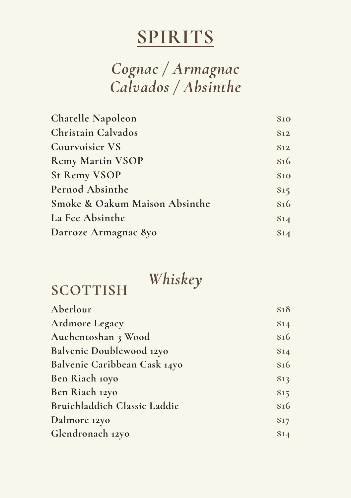### *Cognac / Armagnac Calvados / Absinthe*

| <b>Chatelle Napoleon</b>      | \$10 |
|-------------------------------|------|
| Christain Calvados            | \$12 |
| <b>Courvoisier VS</b>         | \$12 |
| <b>Remy Martin VSOP</b>       | \$16 |
| <b>St Remy VSOP</b>           | \$10 |
| Pernod Absinthe               | \$15 |
| Smoke & Oakum Maison Absinthe | \$16 |
| La Fee Absinthe               | \$14 |
| Darroze Armagnac 8yo          | \$14 |

### *Whiskey*

### **SCOTTISH**

| \$18 |
|------|
| \$14 |
| \$16 |
| \$14 |
| \$16 |
| \$13 |
| \$15 |
| \$16 |
| \$17 |
| \$14 |
|      |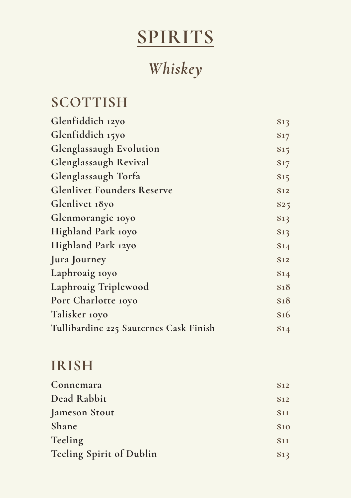# *Whiskey*

### **SCOTTISH**

| Glenfiddich 12yo                       | \$13 |
|----------------------------------------|------|
| Glenfiddich 15yo                       | \$17 |
| Glenglassaugh Evolution                | \$15 |
| Glenglassaugh Revival                  | \$17 |
| Glenglassaugh Torfa                    | \$15 |
| <b>Glenlivet Founders Reserve</b>      | \$12 |
| Glenlivet 18yo                         | \$25 |
| Glenmorangie 10yo                      | \$13 |
| Highland Park 10yo                     | \$13 |
| Highland Park 12yo                     | \$14 |
| Jura Journey                           | \$12 |
| Laphroaig 10yo                         | \$14 |
| Laphroaig Triplewood                   | \$18 |
| Port Charlotte 10yo                    | \$18 |
| Talisker 10yo                          | \$16 |
| Tullibardine 225 Sauternes Cask Finish | \$14 |

### **IRISH**

| Connemara                | \$12 |
|--------------------------|------|
| Dead Rabbit              | \$12 |
| Jameson Stout            | \$11 |
| Shane                    | \$10 |
| Teeling                  | \$11 |
| Teeling Spirit of Dublin | \$13 |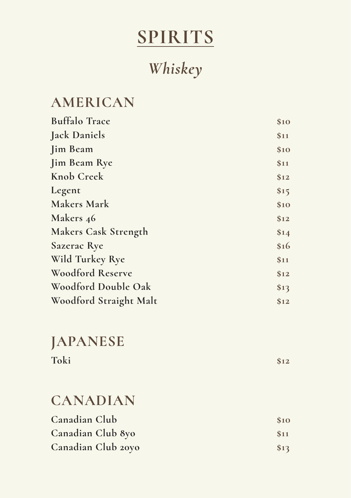### *Whiskey*

#### **AMERICAN**

| <b>Buffalo Trace</b>        | \$10 |
|-----------------------------|------|
| <b>Jack Daniels</b>         | \$11 |
| <b>Jim Beam</b>             | \$10 |
| <b>Jim Beam Rye</b>         | \$11 |
| Knob Creek                  | \$12 |
| Legent                      | \$15 |
| <b>Makers Mark</b>          | \$10 |
| Makers 46                   | \$12 |
| <b>Makers Cask Strength</b> | \$14 |
| Sazerac Rye                 | \$16 |
| Wild Turkey Rye             | \$11 |
| Woodford Reserve            | \$12 |
| Woodford Double Oak         | \$13 |
| Woodford Straight Malt      | \$12 |

### **JAPANESE**

| Toki |  | \$12 |
|------|--|------|
|      |  |      |

#### **CANADIAN**

| Canadian Club      | \$10 |
|--------------------|------|
| Canadian Club 8yo  | \$11 |
| Canadian Club 20yo | \$13 |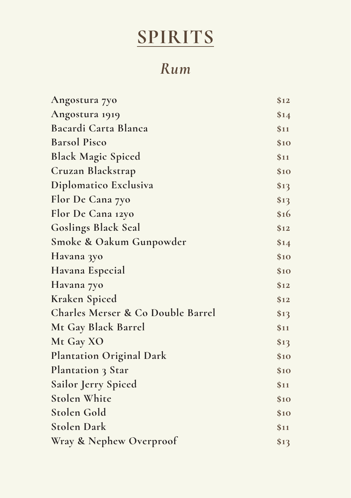### *Rum*

| Angostura 7yo                     | \$12 |
|-----------------------------------|------|
| Angostura 1919                    | \$14 |
| Bacardi Carta Blanca              | \$11 |
| <b>Barsol Pisco</b>               | \$10 |
| <b>Black Magic Spiced</b>         | \$11 |
| Cruzan Blackstrap                 | \$10 |
| Diplomatico Exclusiva             | \$13 |
| Flor De Cana 7yo                  | \$13 |
| Flor De Cana 12yo                 | \$16 |
| <b>Goslings Black Seal</b>        | \$12 |
| Smoke & Oakum Gunpowder           | \$14 |
| Havana 3yo                        | \$10 |
| Havana Especial                   | \$10 |
| Havana 7yo                        | \$12 |
| Kraken Spiced                     | \$12 |
| Charles Merser & Co Double Barrel | \$13 |
| Mt Gay Black Barrel               | \$11 |
| Mt Gay XO                         | \$13 |
| <b>Plantation Original Dark</b>   | \$10 |
| Plantation 3 Star                 | \$10 |
| Sailor Jerry Spiced               | \$11 |
| <b>Stolen White</b>               | \$10 |
| Stolen Gold                       | \$10 |
| <b>Stolen Dark</b>                | \$11 |
| Wray & Nephew Overproof           | \$13 |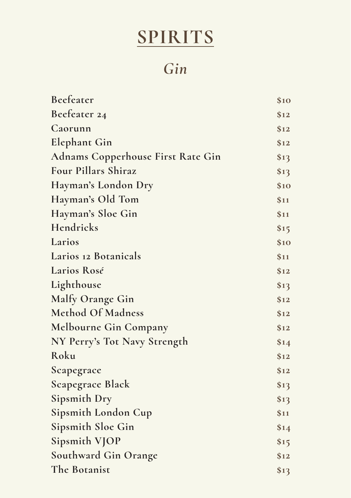*Gin*

| Beefeater                                | \$10 |
|------------------------------------------|------|
| Beefeater 24                             | \$12 |
| Caorunn                                  | \$12 |
| <b>Elephant Gin</b>                      | \$12 |
| <b>Adnams Copperhouse First Rate Gin</b> | \$13 |
| Four Pillars Shiraz                      | \$13 |
| Hayman's London Dry                      | \$10 |
| Hayman's Old Tom                         | \$11 |
| Hayman's Sloe Gin                        | \$11 |
| Hendricks                                | \$15 |
| Larios                                   | \$10 |
| Larios 12 Botanicals                     | \$11 |
| Larios Rosé                              | \$12 |
| Lighthouse                               | \$13 |
| Malfy Orange Gin                         | \$12 |
| <b>Method Of Madness</b>                 | \$12 |
| Melbourne Gin Company                    | \$12 |
| NY Perry's Tot Navy Strength             | \$14 |
| Roku                                     | \$12 |
| Scapegrace                               | \$12 |
| Scapegrace Black                         | \$13 |
| Sipsmith Dry                             | \$13 |
| Sipsmith London Cup                      | \$11 |
| Sipsmith Sloe Gin                        | \$14 |
| Sipsmith VJOP                            | \$15 |
| <b>Southward Gin Orange</b>              | \$12 |
| The Botanist                             | \$13 |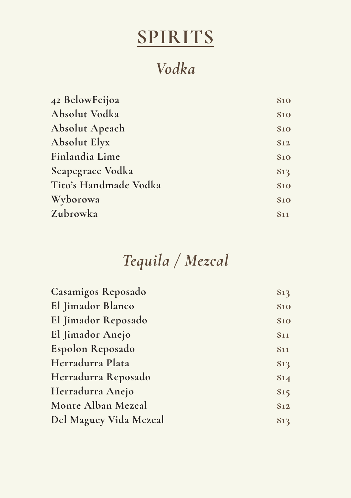### *Vodka*

| 42 BelowFeijoa        | \$10 |
|-----------------------|------|
| Absolut Vodka         | \$10 |
| <b>Absolut Apeach</b> | \$10 |
| <b>Absolut Elyx</b>   | \$12 |
| Finlandia Lime        | \$10 |
| Scapegrace Vodka      | \$13 |
| Tito's Handmade Vodka | \$10 |
| Wyborowa              | \$10 |
| Zubrowka              | \$11 |
|                       |      |

### *Tequila / Mezcal*

| \$13 |
|------|
| \$10 |
| \$10 |
| \$11 |
| \$11 |
| \$13 |
| \$14 |
| \$15 |
| \$12 |
| \$13 |
|      |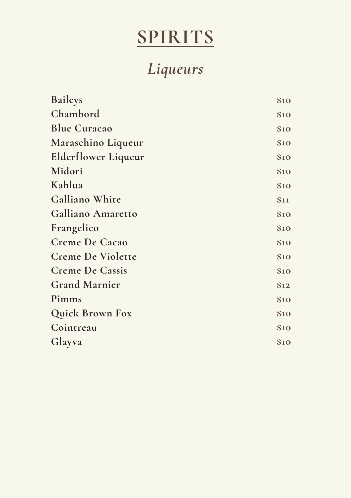# *Liqueurs*

| <b>Baileys</b>             | \$10 |
|----------------------------|------|
| Chambord                   | \$10 |
| <b>Blue Curacao</b>        | \$10 |
| Maraschino Liqueur         | \$10 |
| <b>Elderflower Liqueur</b> | \$10 |
| Midori                     | \$10 |
| Kahlua                     | \$10 |
| Galliano White             | \$11 |
| Galliano Amaretto          | \$10 |
| Frangelico                 | \$10 |
| <b>Creme De Cacao</b>      | \$10 |
| <b>Creme De Violette</b>   | \$10 |
| <b>Creme De Cassis</b>     | \$10 |
| <b>Grand Marnier</b>       | \$12 |
| Pimms                      | \$10 |
| <b>Quick Brown Fox</b>     | \$10 |
| Cointreau                  | \$10 |
| Glayva                     | \$10 |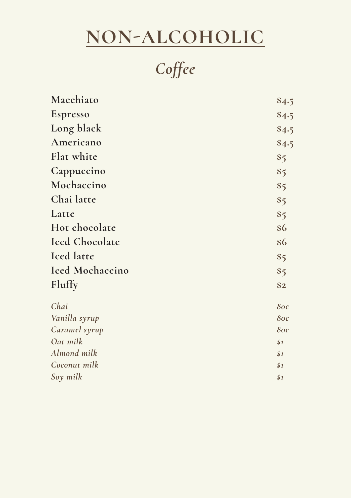# **NON-ALCOHOLIC**

*Coffee* 

| Macchiato             | \$4.5 |
|-----------------------|-------|
| Espresso              | \$4.5 |
| Long black            | \$4.5 |
| Americano             | \$4.5 |
| Flat white            | \$5   |
| Cappuccino            | \$5   |
| Mochaccino            | \$5   |
| Chai latte            | \$5   |
| Latte                 | \$5   |
| Hot chocolate         | \$6   |
| <b>Iced Chocolate</b> | \$6   |
| <b>Iced</b> latte     | \$5   |
| Iced Mochaccino       | \$5   |
| Fluffy                | \$2   |
| Chai                  | 80c   |
| Vanilla syrup         | 80c   |
| Caramel syrup         | 80c   |
| Oat milk              | \$1   |
| Almond milk           | \$1   |
| Coconut milk          | \$1   |
| Soy milk              | \$1   |